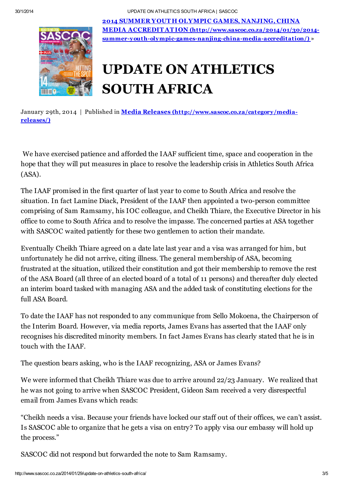30/1/2014 UPDATE ON ATHLETICS SOUTH AFRICA | SASCOC



2014 SUMMER YOUT H OLYMPIC GAMES, NANJING, CHINA MEDIA ACCREDIT ATION (http://www.sascoc.co.za/2014/01/30/2014 [summer-youth-olympic-games-nanjing-china-media-accreditation/\)](http://www.sascoc.co.za/2014/01/30/2014-summer-youth-olympic-games-nanjing-china-media-accreditation/) »

## UPDATE ON ATHLETICS SOUTH AFRICA

January 29th, 2014 | Published in **Media Releases [\(http://www.sascoc.co.za/category/media](http://www.sascoc.co.za/category/media-releases/)**releases/)

We have exercised patience and afforded the IAAF sufficient time, space and cooperation in the hope that they will put measures in place to resolve the leadership crisis in Athletics South Africa (ASA).

The IAAF promised in the first quarter of last year to come to South Africa and resolve the situation. In fact Lamine Diack, President of the IAAF then appointed a two-person committee comprising of Sam Ramsamy, his IOC colleague, and Cheikh Thiare, the Executive Director in his office to come to South Africa and to resolve the impasse. The concerned parties at ASA together with SASCOC waited patiently for these two gentlemen to action their mandate.

Eventually Cheikh Thiare agreed on a date late last year and a visa was arranged for him, but unfortunately he did not arrive, citing illness. The general membership of ASA, becoming frustrated at the situation, utilized their constitution and got their membership to remove the rest of the ASA Board (all three of an elected board of a total of 11 persons) and thereafter duly elected an interim board tasked with managing ASA and the added task of constituting elections for the full ASA Board.

To date the IAAF has not responded to any communique from Sello Mokoena, the Chairperson of the Interim Board. However, via media reports, James Evans has asserted that the IAAF only recognises his discredited minority members. In fact James Evans has clearly stated that he is in touch with the IAAF.

The question bears asking, who is the IAAF recognizing, ASA or James Evans?

We were informed that Cheikh Thiare was due to arrive around 22/23 January. We realized that he was not going to arrive when SASCOC President, Gideon Sam received a very disrespectful email from James Evans which reads:

"Cheikh needs a visa. Because your friends have locked our staff out of their offices, we can't assist. Is SASCOC able to organize that he gets a visa on entry? To apply visa our embassy will hold up the process."

SASCOC did not respond but forwarded the note to Sam Ramsamy.